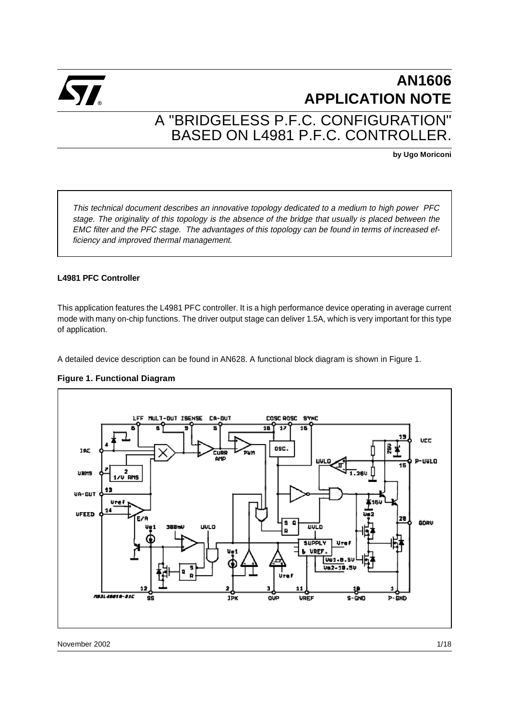

# **AN1606 APPLICATION NOTE** A "BRIDGELESS P.F.C. CONFIGURATION" BASED ON L4981 P.F.C. CONTROLLER.

**by Ugo Moriconi**

This technical document describes an innovative topology dedicated to a medium to high power PFC stage. The originality of this topology is the absence of the bridge that usually is placed between the EMC filter and the PFC stage. The advantages of this topology can be found in terms of increased efficiency and improved thermal management.

#### **L4981 PFC Controller**

This application features the L4981 PFC controller. It is a high performance device operating in average current mode with many on-chip functions. The driver output stage can deliver 1.5A, which is very important for this type of application.

A detailed device description can be found in AN628. A functional block diagram is shown in Figure 1.



## **Figure 1. Functional Diagram**

November 2002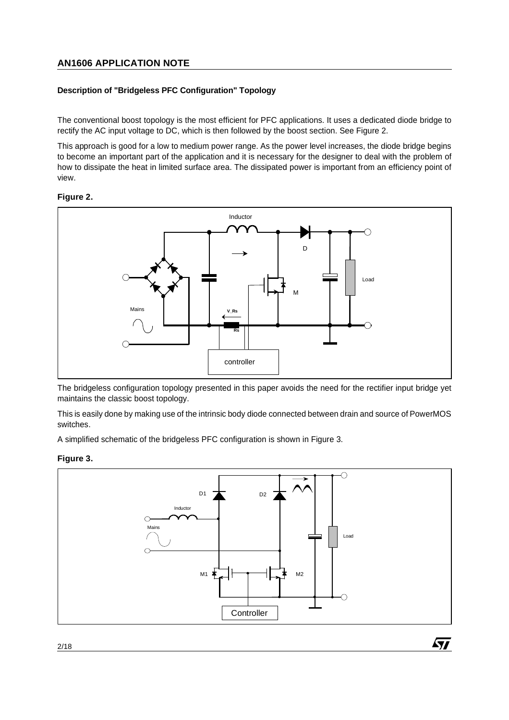## **Description of "Bridgeless PFC Configuration" Topology**

The conventional boost topology is the most efficient for PFC applications. It uses a dedicated diode bridge to rectify the AC input voltage to DC, which is then followed by the boost section. See Figure 2.

This approach is good for a low to medium power range. As the power level increases, the diode bridge begins to become an important part of the application and it is necessary for the designer to deal with the problem of how to dissipate the heat in limited surface area. The dissipated power is important from an efficiency point of view.

#### **Figure 2.**



The bridgeless configuration topology presented in this paper avoids the need for the rectifier input bridge yet maintains the classic boost topology.

This is easily done by making use of the intrinsic body diode connected between drain and source of PowerMOS switches.

A simplified schematic of the bridgeless PFC configuration is shown in Figure 3.

## **Figure 3.**



*ki*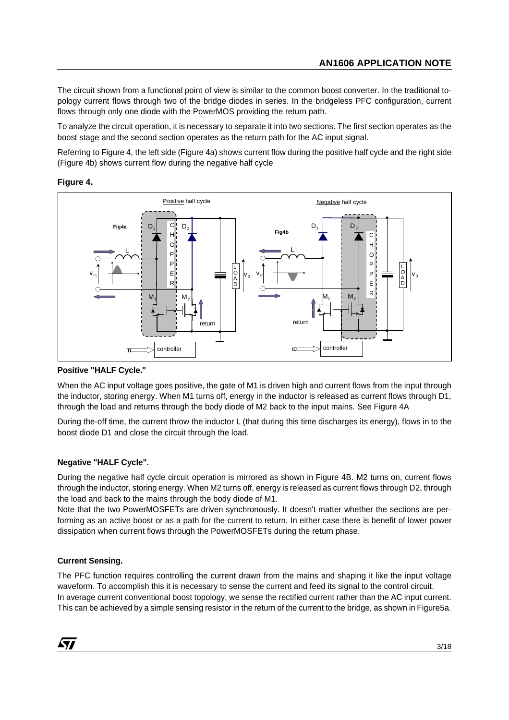The circuit shown from a functional point of view is similar to the common boost converter. In the traditional topology current flows through two of the bridge diodes in series. In the bridgeless PFC configuration, current flows through only one diode with the PowerMOS providing the return path.

To analyze the circuit operation, it is necessary to separate it into two sections. The first section operates as the boost stage and the second section operates as the return path for the AC input signal.

Referring to Figure 4, the left side (Figure 4a) shows current flow during the positive half cycle and the right side (Figure 4b) shows current flow during the negative half cycle

#### **Figure 4.**



#### **Positive "HALF Cycle."**

When the AC input voltage goes positive, the gate of M1 is driven high and current flows from the input through the inductor, storing energy. When M1 turns off, energy in the inductor is released as current flows through D1, through the load and returns through the body diode of M2 back to the input mains. See Figure 4A

During the-off time, the current throw the inductor L (that during this time discharges its energy), flows in to the boost diode D1 and close the circuit through the load.

## **Negative "HALF Cycle".**

During the negative half cycle circuit operation is mirrored as shown in Figure 4B. M2 turns on, current flows through the inductor, storing energy. When M2 turns off, energy is released as current flows through D2, through the load and back to the mains through the body diode of M1.

Note that the two PowerMOSFETs are driven synchronously. It doesn't matter whether the sections are performing as an active boost or as a path for the current to return. In either case there is benefit of lower power dissipation when current flows through the PowerMOSFETs during the return phase.

## **Current Sensing.**

The PFC function requires controlling the current drawn from the mains and shaping it like the input voltage waveform. To accomplish this it is necessary to sense the current and feed its signal to the control circuit. In average current conventional boost topology, we sense the rectified current rather than the AC input current. This can be achieved by a simple sensing resistor in the return of the current to the bridge, as shown in Figure5a.

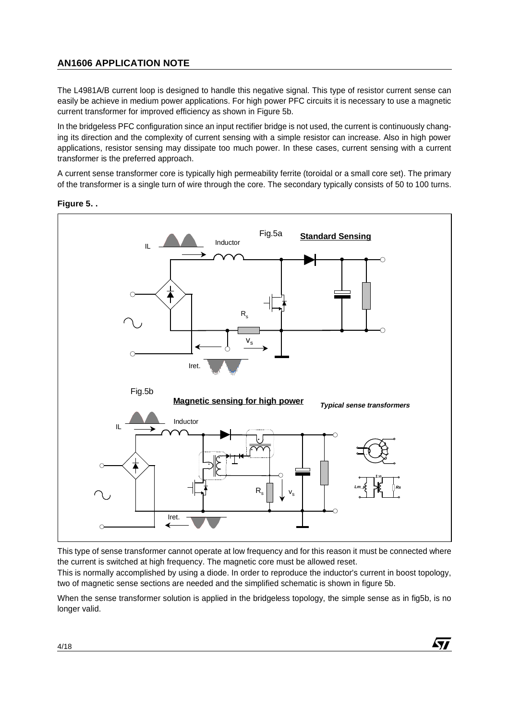The L4981A/B current loop is designed to handle this negative signal. This type of resistor current sense can easily be achieve in medium power applications. For high power PFC circuits it is necessary to use a magnetic current transformer for improved efficiency as shown in Figure 5b.

In the bridgeless PFC configuration since an input rectifier bridge is not used, the current is continuously changing its direction and the complexity of current sensing with a simple resistor can increase. Also in high power applications, resistor sensing may dissipate too much power. In these cases, current sensing with a current transformer is the preferred approach.

A current sense transformer core is typically high permeability ferrite (toroidal or a small core set). The primary of the transformer is a single turn of wire through the core. The secondary typically consists of 50 to 100 turns.



#### **Figure 5. .**

This type of sense transformer cannot operate at low frequency and for this reason it must be connected where the current is switched at high frequency. The magnetic core must be allowed reset.

This is normally accomplished by using a diode. In order to reproduce the inductor's current in boost topology, two of magnetic sense sections are needed and the simplified schematic is shown in figure 5b.

When the sense transformer solution is applied in the bridgeless topology, the simple sense as in fig5b, is no longer valid.

57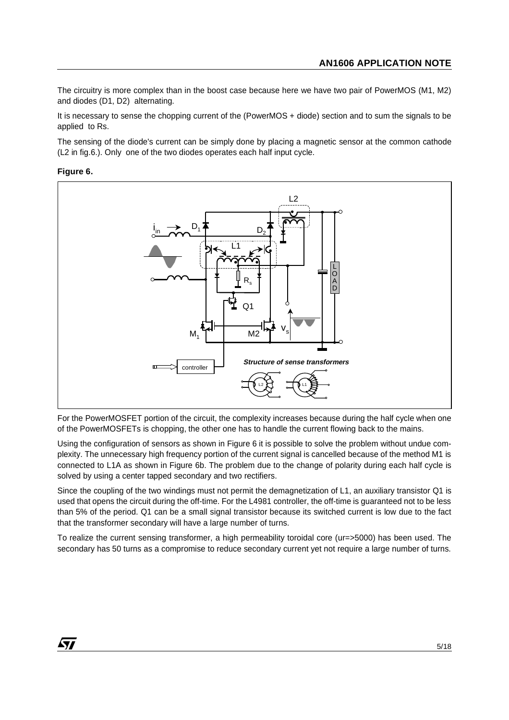The circuitry is more complex than in the boost case because here we have two pair of PowerMOS (M1, M2) and diodes (D1, D2) alternating.

It is necessary to sense the chopping current of the (PowerMOS + diode) section and to sum the signals to be applied to Rs.

The sensing of the diode's current can be simply done by placing a magnetic sensor at the common cathode (L2 in fig.6.). Only one of the two diodes operates each half input cycle.

## **Figure 6.**



For the PowerMOSFET portion of the circuit, the complexity increases because during the half cycle when one of the PowerMOSFETs is chopping, the other one has to handle the current flowing back to the mains.

Using the configuration of sensors as shown in Figure 6 it is possible to solve the problem without undue complexity. The unnecessary high frequency portion of the current signal is cancelled because of the method M1 is connected to L1A as shown in Figure 6b. The problem due to the change of polarity during each half cycle is solved by using a center tapped secondary and two rectifiers.

Since the coupling of the two windings must not permit the demagnetization of L1, an auxiliary transistor Q1 is used that opens the circuit during the off-time. For the L4981 controller, the off-time is guaranteed not to be less than 5% of the period. Q1 can be a small signal transistor because its switched current is low due to the fact that the transformer secondary will have a large number of turns.

To realize the current sensing transformer, a high permeability toroidal core (ur=>5000) has been used. The secondary has 50 turns as a compromise to reduce secondary current yet not require a large number of turns.

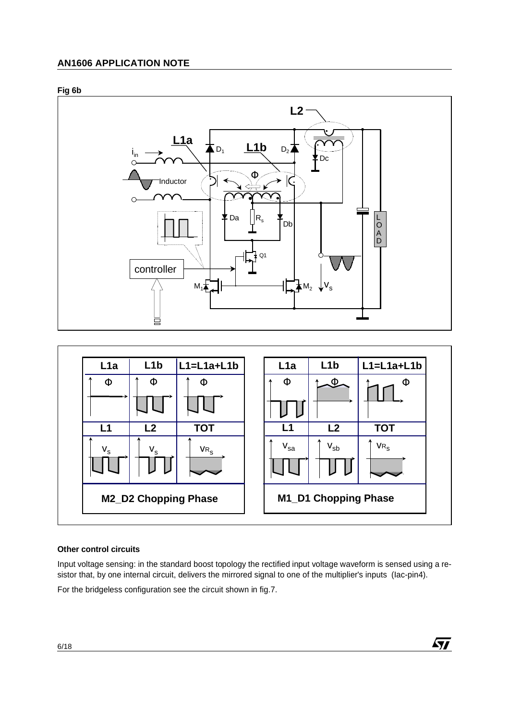





## **Other control circuits**

Input voltage sensing: in the standard boost topology the rectified input voltage waveform is sensed using a resistor that, by one internal circuit, delivers the mirrored signal to one of the multiplier's inputs (Iac-pin4).

 $\sqrt{27}$ 

For the bridgeless configuration see the circuit shown in fig.7.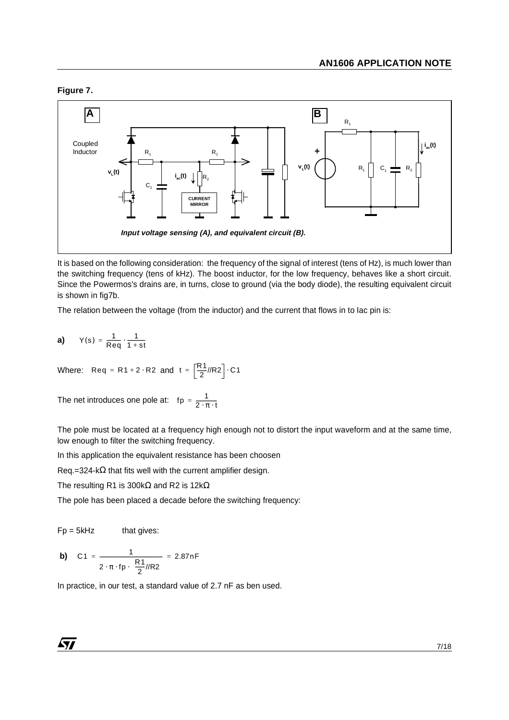## **Figure 7.**



It is based on the following consideration: the frequency of the signal of interest (tens of Hz), is much lower than the switching frequency (tens of kHz). The boost inductor, for the low frequency, behaves like a short circuit. Since the Powermos's drains are, in turns, close to ground (via the body diode), the resulting equivalent circuit is shown in fig7b.

The relation between the voltage (from the inductor) and the current that flows in to Iac pin is:

**a)**   $Y(s) = \frac{1}{\text{Re}q} \cdot \frac{1}{1 + \text{st}}$ 

Where: Req = R1 + 2 · R2 and t =  $\left[\frac{R1}{2}/R2\right]$  · C1

The net introduces one pole at:  $\quad$  fp =  $\frac{1}{2 \cdot \pi \cdot t}$ 

The pole must be located at a frequency high enough not to distort the input waveform and at the same time, low enough to filter the switching frequency.

In this application the equivalent resistance has been choosen

Req.=324-k $\Omega$  that fits well with the current amplifier design.

The resulting R1 is 300kΩ and R2 is 12kΩ

The pole has been placed a decade before the switching frequency:

 $Fp = 5kHz$  that gives:

**b)** C1 = 
$$
\frac{1}{2 \cdot \pi \cdot fp \cdot (\frac{R1}{2}/R2)} = 2.87nF
$$

In practice, in our test, a standard value of 2.7 nF as ben used.

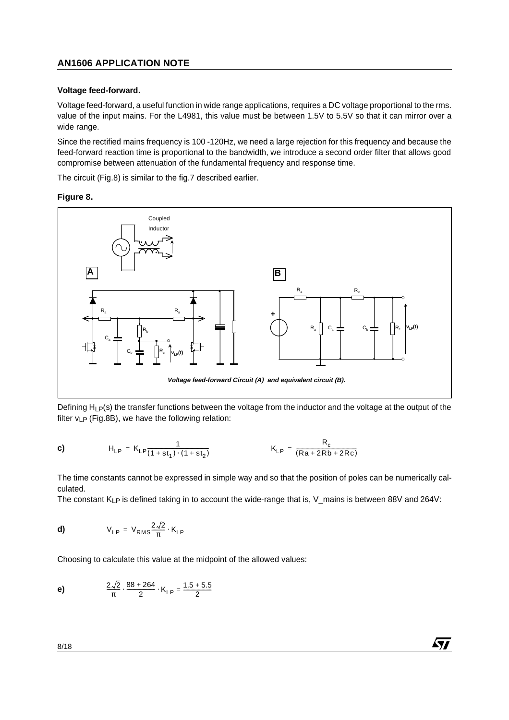#### **Voltage feed-forward.**

Voltage feed-forward, a useful function in wide range applications, requires a DC voltage proportional to the rms. value of the input mains. For the L4981, this value must be between 1.5V to 5.5V so that it can mirror over a wide range.

Since the rectified mains frequency is 100 -120Hz, we need a large rejection for this frequency and because the feed-forward reaction time is proportional to the bandwidth, we introduce a second order filter that allows good compromise between attenuation of the fundamental frequency and response time.

The circuit (Fig.8) is similar to the fig.7 described earlier.

#### **Figure 8.**



Defining  $H_1P(s)$  the transfer functions between the voltage from the inductor and the voltage at the output of the filter  $v_{LP}$  (Fig.8B), we have the following relation:

c) 
$$
H_{LP} = K_{LP} \frac{1}{(1 + st_1) \cdot (1 + st_2)}
$$
  $K_{LP} = \frac{R_c}{(Ra + 2Rb + 2Rc)}$ 

The time constants cannot be expressed in simple way and so that the position of poles can be numerically calculated.

57

The constant  $K_{LP}$  is defined taking in to account the wide-range that is, V mains is between 88V and 264V:

$$
V_{LP} = V_{RMS} \frac{2\sqrt{2}}{\pi} \cdot K_{LP}
$$

Choosing to calculate this value at the midpoint of the allowed values:

**e)** 
$$
\frac{2\sqrt{2}}{\pi} \cdot \frac{88 + 264}{2} \cdot K_{LP} = \frac{1.5 + 5.5}{2}
$$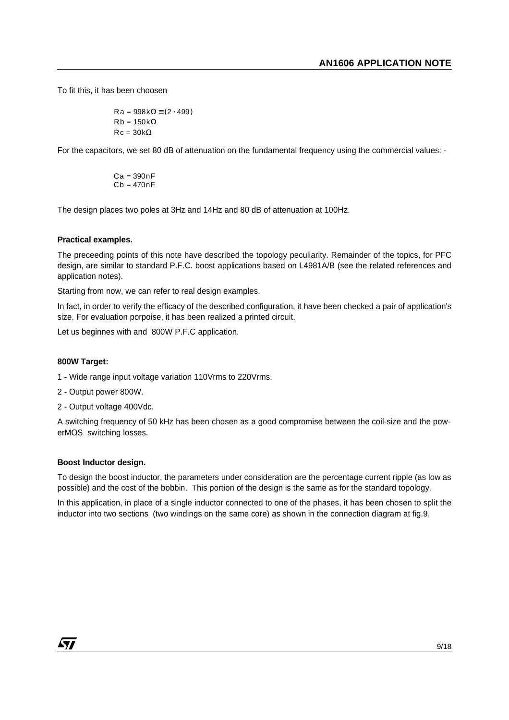To fit this, it has been choosen

$$
\begin{cases}\nRa = 998k\Omega \equiv (2 \cdot 499) \\
Rb = 150k\Omega \\
Rc = 30k\Omega\n\end{cases}
$$

For the capacitors, we set 80 dB of attenuation on the fundamental frequency using the commercial values: -

$$
\begin{pmatrix} Ca=390nF \\ Cb=470nF \end{pmatrix}
$$

The design places two poles at 3Hz and 14Hz and 80 dB of attenuation at 100Hz.

#### **Practical examples.**

The preceeding points of this note have described the topology peculiarity. Remainder of the topics, for PFC design, are similar to standard P.F.C. boost applications based on L4981A/B (see the related references and application notes).

Starting from now, we can refer to real design examples.

In fact, in order to verify the efficacy of the described configuration, it have been checked a pair of application's size. For evaluation porpoise, it has been realized a printed circuit.

Let us beginnes with and 800W P.F.C application.

#### **800W Target:**

- 1 Wide range input voltage variation 110Vrms to 220Vrms.
- 2 Output power 800W.
- 2 Output voltage 400Vdc.

A switching frequency of 50 kHz has been chosen as a good compromise between the coil-size and the powerMOS switching losses.

#### **Boost Inductor design.**

To design the boost inductor, the parameters under consideration are the percentage current ripple (as low as possible) and the cost of the bobbin. This portion of the design is the same as for the standard topology.

In this application, in place of a single inductor connected to one of the phases, it has been chosen to split the inductor into two sections (two windings on the same core) as shown in the connection diagram at fig.9.

*ky*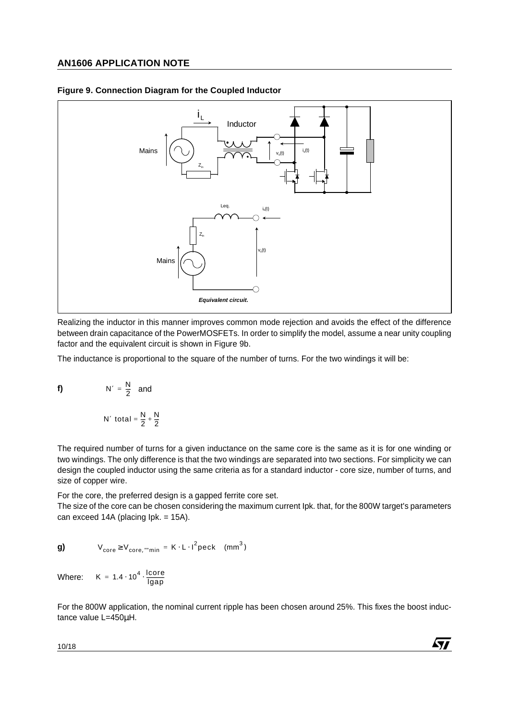

#### **Figure 9. Connection Diagram for the Coupled Inductor**

Realizing the inductor in this manner improves common mode rejection and avoids the effect of the difference between drain capacitance of the PowerMOSFETs. In order to simplify the model, assume a near unity coupling factor and the equivalent circuit is shown in Figure 9b.

The inductance is proportional to the square of the number of turns. For the two windings it will be:

f) 
$$
N' = \frac{N}{2} \text{ and}
$$

$$
N' \text{ total} = \frac{N}{2} + \frac{N}{2}
$$

The required number of turns for a given inductance on the same core is the same as it is for one winding or two windings. The only difference is that the two windings are separated into two sections. For simplicity we can design the coupled inductor using the same criteria as for a standard inductor - core size, number of turns, and size of copper wire.

For the core, the preferred design is a gapped ferrite core set.

The size of the core can be chosen considering the maximum current Ipk. that, for the 800W target's parameters can exceed 14A (placing Ipk. = 15A).

**g)** 
$$
V_{\text{core}} \ge V_{\text{core}, \text{min}} = K \cdot L \cdot I^2 \text{peck} \quad (\text{mm}^3)
$$

Where:  $K = 1.4 \cdot 10^4 \cdot \frac{\text{lcore}}{\text{lgap}}$ 

For the 800W application, the nominal current ripple has been chosen around 25%. This fixes the boost inductance value L=450µH.

57

10/18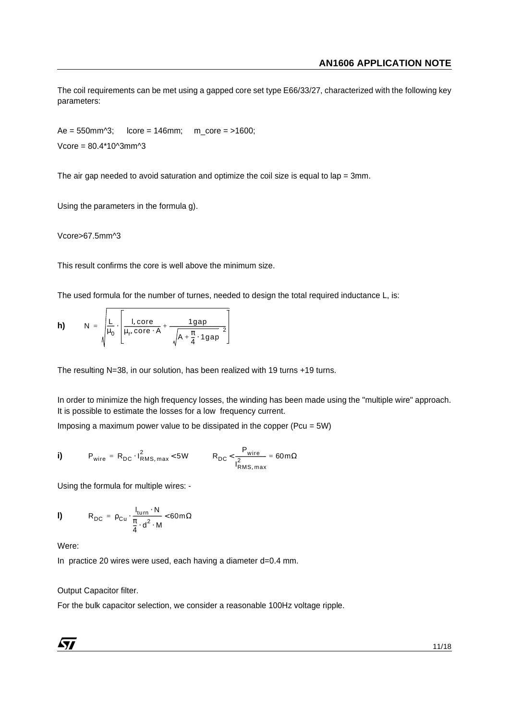The coil requirements can be met using a gapped core set type E66/33/27, characterized with the following key parameters:

 $Ae = 550$ mm $\textdegree$ 3; lcore = 146mm; m\_core = >1600; Vcore = 80.4\*10^3mm^3

The air gap needed to avoid saturation and optimize the coil size is equal to lap =  $3$ mm.

Using the parameters in the formula g).

Vcore>67.5mm^3

This result confirms the core is well above the minimum size.

The used formula for the number of turnes, needed to design the total required inductance L, is:

**h)** N = 
$$
\sqrt{\frac{L}{\mu_0} \cdot \left[ \frac{I, \text{core}}{\mu_r, \text{core} \cdot A} + \frac{1 \text{gap}}{\left( \sqrt{A + \frac{\pi}{4} \cdot 1 \text{gap}} \right)^2} \right]}
$$

The resulting N=38, in our solution, has been realized with 19 turns +19 turns.

In order to minimize the high frequency losses, the winding has been made using the "multiple wire" approach. It is possible to estimate the losses for a low frequency current.

Imposing a maximum power value to be dissipated in the copper (Pcu =  $5W$ )

$$
\mathbf{i) \qquad P_{wire} = R_{DC} \cdot I_{RMS, max}^2 < 5W \qquad R_{DC} < \frac{P_{wire}}{I_{RMS, max}^2} = 60 \text{ m}\Omega
$$

Using the formula for multiple wires: -

$$
\mathbf{I} \mathbf{I} \qquad \qquad \mathbf{R}_{\mathrm{DC}} = \rho_{\mathrm{Cu}} \cdot \frac{I_{\mathrm{turn}} \cdot \mathbf{N}}{\frac{\pi}{4} \cdot d^2 \cdot \mathbf{M}} < 60 \,\mathrm{m}\,\Omega
$$

Were:

In practice 20 wires were used, each having a diameter d=0.4 mm.

#### Output Capacitor filter.

For the bulk capacitor selection, we consider a reasonable 100Hz voltage ripple.

*ky*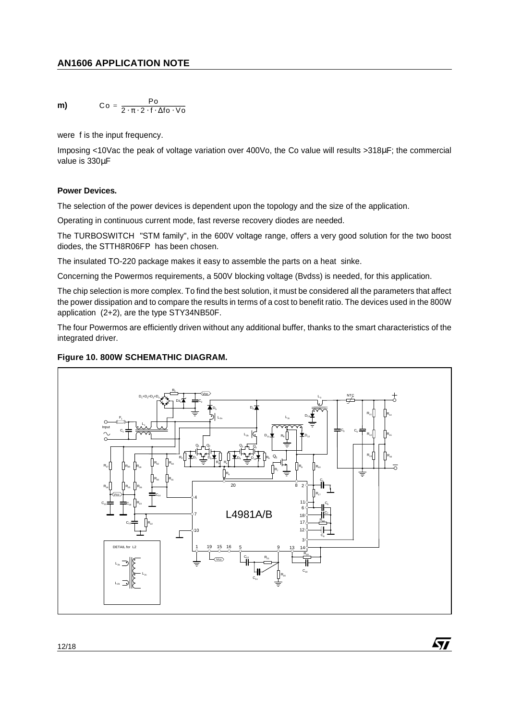$$
m) \hspace{1cm} \text{Co} = \frac{\text{Po}}{2 \cdot \pi \cdot 2 \cdot f \cdot \Delta f \cdot \Delta f \cdot \text{Vo}}
$$

were f is the input frequency.

Imposing <10Vac the peak of voltage variation over 400Vo, the Co value will results >318µF; the commercial value is 330µF

## **Power Devices.**

The selection of the power devices is dependent upon the topology and the size of the application.

Operating in continuous current mode, fast reverse recovery diodes are needed.

The TURBOSWITCH "STM family", in the 600V voltage range, offers a very good solution for the two boost diodes, the STTH8R06FP has been chosen.

The insulated TO-220 package makes it easy to assemble the parts on a heat sinke.

Concerning the Powermos requirements, a 500V blocking voltage (Bvdss) is needed, for this application.

The chip selection is more complex. To find the best solution, it must be considered all the parameters that affect the power dissipation and to compare the results in terms of a cost to benefit ratio. The devices used in the 800W application (2+2), are the type STY34NB50F.

The four Powermos are efficiently driven without any additional buffer, thanks to the smart characteristics of the integrated driver.

## **Figure 10. 800W SCHEMATHIC DIAGRAM.**



57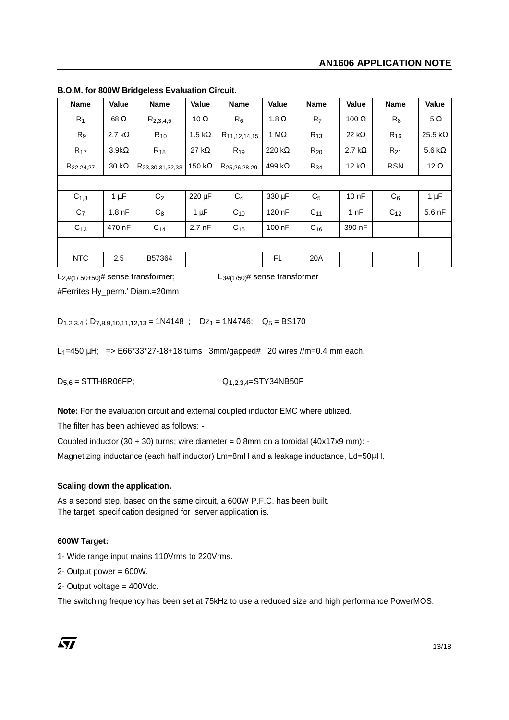| <b>Name</b>           | Value             | <b>Name</b>                 | Value             | <b>Name</b>              | <b>Value</b>   | <b>Name</b>    | Value             | <b>Name</b> | Value           |
|-----------------------|-------------------|-----------------------------|-------------------|--------------------------|----------------|----------------|-------------------|-------------|-----------------|
| $R_1$                 | 68 Ω              | $R_{2,3,4,5}$               | 10 $\Omega$       | $R_6$                    | 1.8 $\Omega$   | R <sub>7</sub> | 100 $\Omega$      | $R_8$       | $5\,\Omega$     |
| R <sub>9</sub>        | 2.7 k $\Omega$    | $R_{10}$                    | 1.5 k $\Omega$    | R <sub>11,12,14,15</sub> | 1 M $\Omega$   | $R_{13}$       | 22 k $\Omega$     | $R_{16}$    | 25.5 k $\Omega$ |
| $R_{17}$              | $3.9k\Omega$      | $R_{18}$                    | 27 k $\Omega$     | $R_{19}$                 | 220 k $\Omega$ | $R_{20}$       | 2.7 k $\Omega$    | $R_{21}$    | 5.6 k $\Omega$  |
| R <sub>22,24,27</sub> | $30 k\Omega$      | R <sub>23,30,31,32,33</sub> | 150 k $\Omega$    | R <sub>25,26,28,29</sub> | 499 k $\Omega$ | $R_{34}$       | 12 k $\Omega$     | <b>RSN</b>  | 12 $\Omega$     |
|                       |                   |                             |                   |                          |                |                |                   |             |                 |
| $C_{1,3}$             | $1 \mu F$         | C <sub>2</sub>              | 220 µF            | $C_4$                    | 330 µF         | C <sub>5</sub> | 10 <sub>0</sub> F | $C_6$       | 1 $\mu$ F       |
| C <sub>7</sub>        | 1.8 <sub>nF</sub> | $C_8$                       | $1 \mu F$         | $C_{10}$                 | 120 nF         | $C_{11}$       | 1 nF              | $C_{12}$    | $5.6$ nF        |
| $C_{13}$              | 470 nF            | $C_{14}$                    | 2.7 <sub>nf</sub> | $C_{15}$                 | 100 nF         | $C_{16}$       | 390 nF            |             |                 |
|                       |                   |                             |                   |                          |                |                |                   |             |                 |
| <b>NTC</b>            | 2.5               | B57364                      |                   |                          | F <sub>1</sub> | 20A            |                   |             |                 |

**B.O.M. for 800W Bridgeless Evaluation Circuit.**

#Ferrites Hy\_perm.' Diam.=20mm

 $L_{2,\#(1/50+50)}$ # sense transformer;  $L_{3\#(1/50)}$ # sense transformer

 $D_{1,2,3,4}$ ;  $D_{7,8,9,10,11,12,13} = 1N4148$ ;  $Dz_1 = 1N4746$ ;  $Q_5 = BS170$ 

 $L_1=450 \mu H$ ; =>  $E66*33*27-18+18 \text{ turns } 3mm/gapped # 20 wires //m=0.4 mm each.$ 

 $D_{5,6} =$  STTH8R06FP;  $Q_{1,2,3,4} =$  STY34NB50F

**Note:** For the evaluation circuit and external coupled inductor EMC where utilized.

The filter has been achieved as follows: -

Coupled inductor  $(30 + 30)$  turns; wire diameter = 0.8mm on a toroidal  $(40x17x9$  mm): -

Magnetizing inductance (each half inductor) Lm=8mH and a leakage inductance, Ld=50µH.

## **Scaling down the application.**

As a second step, based on the same circuit, a 600W P.F.C. has been built. The target specification designed for server application is.

## **600W Target:**

1- Wide range input mains 110Vrms to 220Vrms.

2- Output power = 600W.

2- Output voltage = 400Vdc.

The switching frequency has been set at 75kHz to use a reduced size and high performance PowerMOS.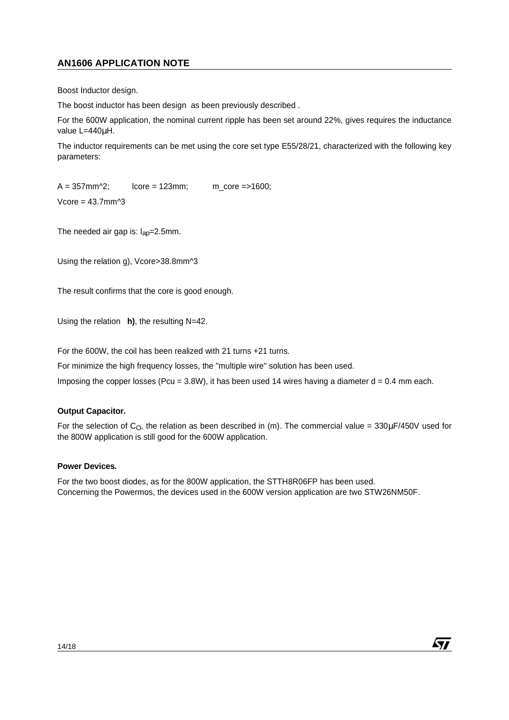Boost Inductor design.

The boost inductor has been design as been previously described .

For the 600W application, the nominal current ripple has been set around 22%, gives requires the inductance value L=440µH.

The inductor requirements can be met using the core set type E55/28/21, characterized with the following key parameters:

 $A = 357$ mm<sup> $\text{2}$ </sup>; lcore = 123mm; m\_core =>1600; Vcore = 43.7mm^3

The needed air gap is:  $I_{\text{ap}}=2.5$ mm.

Using the relation g), Vcore>38.8mm^3

The result confirms that the core is good enough.

Using the relation **h)**, the resulting N=42.

For the 600W, the coil has been realized with 21 turns +21 turns.

For minimize the high frequency losses, the "multiple wire" solution has been used.

Imposing the copper losses (Pcu =  $3.8W$ ), it has been used 14 wires having a diameter  $d = 0.4$  mm each.

## **Output Capacitor.**

For the selection of C<sub>O</sub>, the relation as been described in (m). The commercial value =  $330\mu$ F/450V used for the 800W application is still good for the 600W application.

#### **Power Devices.**

For the two boost diodes, as for the 800W application, the STTH8R06FP has been used. Concerning the Powermos, the devices used in the 600W version application are two STW26NM50F.

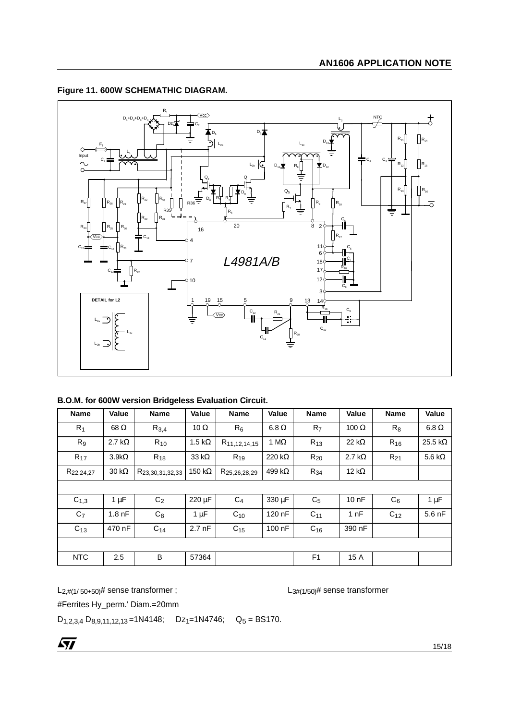

## **Figure 11. 600W SCHEMATHIC DIAGRAM.**

|  |  |  |  |  |  |  | B.O.M. for 600W version Bridgeless Evaluation Circuit. |  |
|--|--|--|--|--|--|--|--------------------------------------------------------|--|
|--|--|--|--|--|--|--|--------------------------------------------------------|--|

| <b>Name</b>           | Value             | <b>Name</b>                 | Value             | <b>Name</b>              | Value          | <b>Name</b>     | Value             | <b>Name</b> | Value           |
|-----------------------|-------------------|-----------------------------|-------------------|--------------------------|----------------|-----------------|-------------------|-------------|-----------------|
| $R_1$                 | 68 Ω              | $R_{3,4}$                   | 10 $\Omega$       | $R_6$                    | $6.8\,\Omega$  | R <sub>7</sub>  | 100 $\Omega$      | $R_8$       | $6.8\,\Omega$   |
| R <sub>9</sub>        | 2.7 k $\Omega$    | $R_{10}$                    | 1.5 k $\Omega$    | R <sub>11,12,14,15</sub> | 1 M $\Omega$   | $R_{13}$        | 22 k $\Omega$     | $R_{16}$    | 25.5 k $\Omega$ |
| $R_{17}$              | $3.9k\Omega$      | $R_{18}$                    | 33 $k\Omega$      | $R_{19}$                 | 220 k $\Omega$ | $R_{20}$        | 2.7 k $\Omega$    | $R_{21}$    | 5.6 k $\Omega$  |
| R <sub>22,24,27</sub> | $30 k\Omega$      | R <sub>23,30,31,32,33</sub> | 150 k $\Omega$    | R <sub>25,26,28,29</sub> | 499 k $\Omega$ | $R_{34}$        | 12 k $\Omega$     |             |                 |
|                       |                   |                             |                   |                          |                |                 |                   |             |                 |
| $C_{1,3}$             | $1 \mu F$         | C <sub>2</sub>              | $220 \mu F$       | $C_4$                    | 330 µF         | C <sub>5</sub>  | 10 <sub>0</sub> F | $C_6$       | $1 \mu F$       |
| C <sub>7</sub>        | 1.8 <sub>nF</sub> | $C_8$                       | $1 \mu F$         | $C_{10}$                 | 120 nF         | C <sub>11</sub> | 1 nF              | $C_{12}$    | $5.6$ nF        |
| $C_{13}$              | 470 nF            | $C_{14}$                    | 2.7 <sub>nf</sub> | $C_{15}$                 | 100 nF         | $C_{16}$        | 390 nF            |             |                 |
|                       |                   |                             |                   |                          |                |                 |                   |             |                 |
| <b>NTC</b>            | 2.5               | B                           | 57364             |                          |                | F <sub>1</sub>  | 15 A              |             |                 |

 $L_{2,\#(1/50+50)}\#$  sense transformer ;  $L_{3\#(1/50)}\#$  sense transformer

#Ferrites Hy\_perm.' Diam.=20mm

 $D_{1,2,3,4} D_{8,9,11,12,13} = 1N4148; \quad D_{2,1}=1N4746; \quad Q_5 = BS170.$ 

 $\sqrt{27}$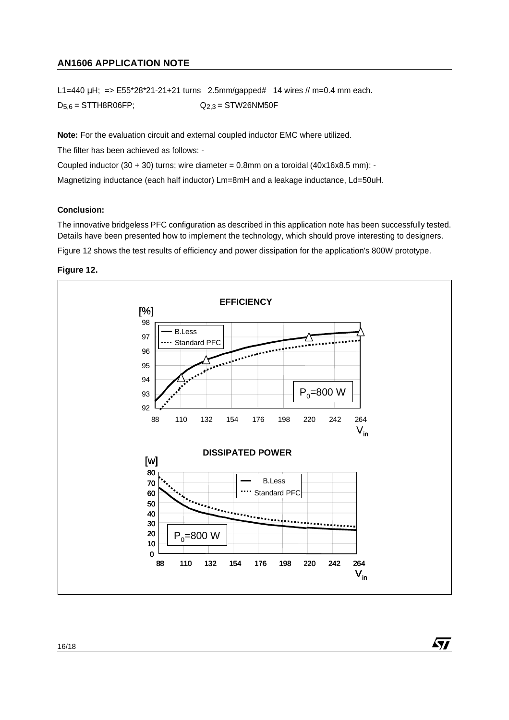L1=440  $\mu$ H; => E55\*28\*21-21+21 turns 2.5mm/gapped# 14 wires // m=0.4 mm each.

 $D_{5,6}$  = STTH8R06FP;  $Q_{2,3}$  = STW26NM50F

**Note:** For the evaluation circuit and external coupled inductor EMC where utilized.

The filter has been achieved as follows: -

Coupled inductor  $(30 + 30)$  turns; wire diameter = 0.8mm on a toroidal  $(40x16x8.5$  mm): -

Magnetizing inductance (each half inductor) Lm=8mH and a leakage inductance, Ld=50uH.

#### **Conclusion:**

The innovative bridgeless PFC configuration as described in this application note has been successfully tested. Details have been presented how to implement the technology, which should prove interesting to designers. Figure 12 shows the test results of efficiency and power dissipation for the application's 800W prototype.





*ki*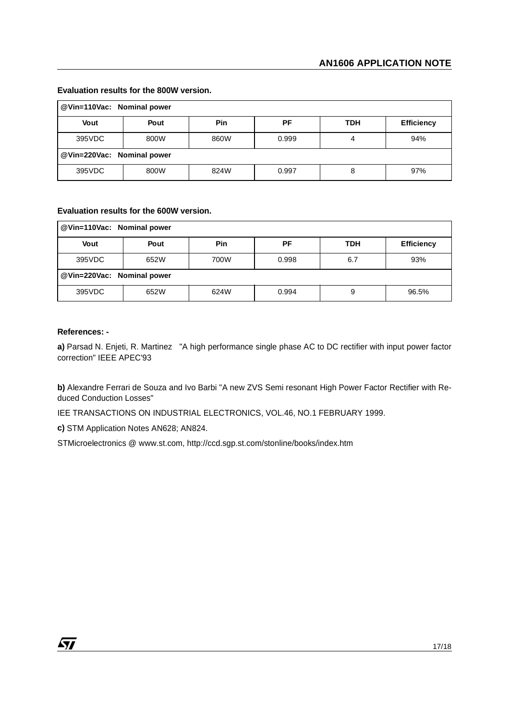| @ Vin=110Vac: Nominal power |      |            |       |     |                   |  |  |  |  |
|-----------------------------|------|------------|-------|-----|-------------------|--|--|--|--|
| Vout                        | Pout | <b>Pin</b> | РF    | TDH | <b>Efficiency</b> |  |  |  |  |
| 395VDC<br>800W              |      | 860W       | 0.999 |     | 94%               |  |  |  |  |
| @ Vin=220Vac: Nominal power |      |            |       |     |                   |  |  |  |  |
| 395VDC                      | 800W | 824W       | 0.997 | 8   | 97%               |  |  |  |  |

#### **Evaluation results for the 800W version.**

## **Evaluation results for the 600W version.**

| @Vin=110Vac: Nominal power |      |               |       |            |                   |  |  |  |  |
|----------------------------|------|---------------|-------|------------|-------------------|--|--|--|--|
| Vout                       | Pout | <b>Pin</b>    | РF    | <b>TDH</b> | <b>Efficiency</b> |  |  |  |  |
| 395VDC<br>652W             |      | 700W<br>0.998 |       | 6.7        | 93%               |  |  |  |  |
| @Vin=220Vac: Nominal power |      |               |       |            |                   |  |  |  |  |
| 395VDC                     | 652W | 624W          | 0.994 | 9          | 96.5%             |  |  |  |  |

#### **References: -**

**a)** Parsad N. Enjeti, R. Martinez "A high performance single phase AC to DC rectifier with input power factor correction" IEEE APEC'93

**b)** Alexandre Ferrari de Souza and Ivo Barbi "A new ZVS Semi resonant High Power Factor Rectifier with Reduced Conduction Losses"

IEE TRANSACTIONS ON INDUSTRIAL ELECTRONICS, VOL.46, NO.1 FEBRUARY 1999.

**c)** STM Application Notes AN628; AN824.

STMicroelectronics @ www.st.com, http://ccd.sgp.st.com/stonline/books/index.htm

 $\sqrt{11}$